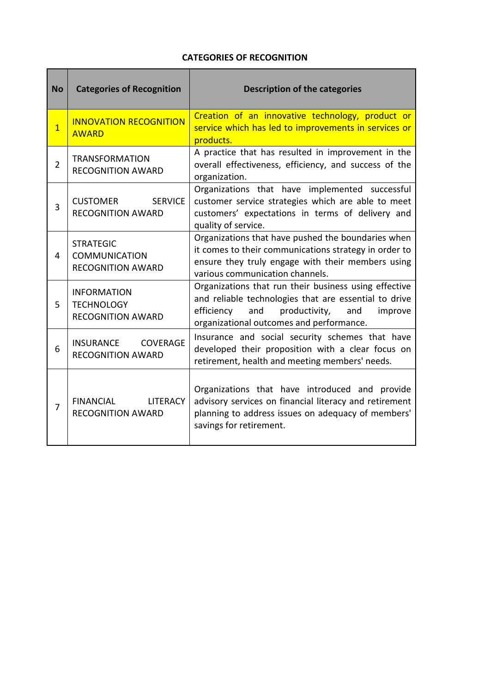## **CATEGORIES OF RECOGNITION**

| <b>No</b>      | <b>Categories of Recognition</b>                                     | <b>Description of the categories</b>                                                                                                                                                                               |
|----------------|----------------------------------------------------------------------|--------------------------------------------------------------------------------------------------------------------------------------------------------------------------------------------------------------------|
| $\overline{1}$ | <b>INNOVATION RECOGNITION</b><br><b>AWARD</b>                        | Creation of an innovative technology, product or<br>service which has led to improvements in services or<br>products.                                                                                              |
| $\overline{2}$ | <b>TRANSFORMATION</b><br><b>RECOGNITION AWARD</b>                    | A practice that has resulted in improvement in the<br>overall effectiveness, efficiency, and success of the<br>organization.                                                                                       |
| 3              | <b>SERVICE</b><br><b>CUSTOMER</b><br><b>RECOGNITION AWARD</b>        | Organizations that have implemented successful<br>customer service strategies which are able to meet<br>customers' expectations in terms of delivery and<br>quality of service.                                    |
| 4              | <b>STRATEGIC</b><br><b>COMMUNICATION</b><br><b>RECOGNITION AWARD</b> | Organizations that have pushed the boundaries when<br>it comes to their communications strategy in order to<br>ensure they truly engage with their members using<br>various communication channels.                |
| 5              | <b>INFORMATION</b><br><b>TECHNOLOGY</b><br><b>RECOGNITION AWARD</b>  | Organizations that run their business using effective<br>and reliable technologies that are essential to drive<br>efficiency<br>and<br>productivity,<br>improve<br>and<br>organizational outcomes and performance. |
| 6              | INSURANCE<br><b>COVERAGE</b><br><b>RECOGNITION AWARD</b>             | Insurance and social security schemes that have<br>developed their proposition with a clear focus on<br>retirement, health and meeting members' needs.                                                             |
| $\overline{7}$ | <b>FINANCIAL</b><br><b>LITERACY</b><br><b>RECOGNITION AWARD</b>      | Organizations that have introduced and provide<br>advisory services on financial literacy and retirement<br>planning to address issues on adequacy of members'<br>savings for retirement.                          |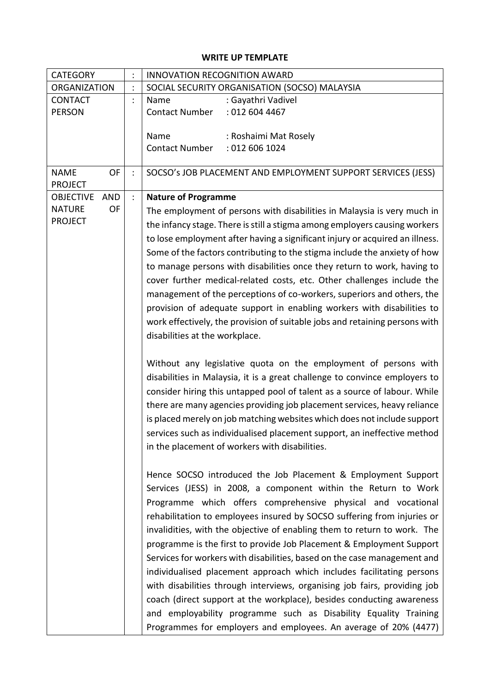## **WRITE UP TEMPLATE**

| <b>CATEGORY</b>                | $\ddot{\cdot}$       | <b>INNOVATION RECOGNITION AWARD</b>                                                                                                                                                                                                                                                |
|--------------------------------|----------------------|------------------------------------------------------------------------------------------------------------------------------------------------------------------------------------------------------------------------------------------------------------------------------------|
| <b>ORGANIZATION</b>            |                      | SOCIAL SECURITY ORGANISATION (SOCSO) MALAYSIA                                                                                                                                                                                                                                      |
| <b>CONTACT</b>                 | $\ddot{\phantom{a}}$ | : Gayathri Vadivel<br>Name                                                                                                                                                                                                                                                         |
| <b>PERSON</b>                  |                      | : 012 604 4467<br><b>Contact Number</b>                                                                                                                                                                                                                                            |
|                                |                      |                                                                                                                                                                                                                                                                                    |
|                                |                      | Name<br>: Roshaimi Mat Rosely                                                                                                                                                                                                                                                      |
|                                |                      | <b>Contact Number</b><br>: 012 606 1024                                                                                                                                                                                                                                            |
|                                |                      |                                                                                                                                                                                                                                                                                    |
| <b>OF</b><br><b>NAME</b>       | $\ddot{\phantom{a}}$ | SOCSO's JOB PLACEMENT AND EMPLOYMENT SUPPORT SERVICES (JESS)                                                                                                                                                                                                                       |
| <b>PROJECT</b>                 |                      |                                                                                                                                                                                                                                                                                    |
| <b>OBJECTIVE</b><br><b>AND</b> | $\ddot{\cdot}$       | <b>Nature of Programme</b>                                                                                                                                                                                                                                                         |
| <b>NATURE</b><br><b>OF</b>     |                      | The employment of persons with disabilities in Malaysia is very much in                                                                                                                                                                                                            |
| <b>PROJECT</b>                 |                      | the infancy stage. There is still a stigma among employers causing workers                                                                                                                                                                                                         |
|                                |                      | to lose employment after having a significant injury or acquired an illness.                                                                                                                                                                                                       |
|                                |                      |                                                                                                                                                                                                                                                                                    |
|                                |                      | Some of the factors contributing to the stigma include the anxiety of how                                                                                                                                                                                                          |
|                                |                      | to manage persons with disabilities once they return to work, having to                                                                                                                                                                                                            |
|                                |                      | cover further medical-related costs, etc. Other challenges include the                                                                                                                                                                                                             |
|                                |                      | management of the perceptions of co-workers, superiors and others, the                                                                                                                                                                                                             |
|                                |                      | provision of adequate support in enabling workers with disabilities to                                                                                                                                                                                                             |
|                                |                      | work effectively, the provision of suitable jobs and retaining persons with                                                                                                                                                                                                        |
|                                |                      | disabilities at the workplace.                                                                                                                                                                                                                                                     |
|                                |                      |                                                                                                                                                                                                                                                                                    |
|                                |                      | Without any legislative quota on the employment of persons with<br>disabilities in Malaysia, it is a great challenge to convince employers to<br>consider hiring this untapped pool of talent as a source of labour. While                                                         |
|                                |                      | there are many agencies providing job placement services, heavy reliance<br>is placed merely on job matching websites which does not include support<br>services such as individualised placement support, an ineffective method<br>in the placement of workers with disabilities. |
|                                |                      |                                                                                                                                                                                                                                                                                    |
|                                |                      | Hence SOCSO introduced the Job Placement & Employment Support                                                                                                                                                                                                                      |
|                                |                      | Services (JESS) in 2008, a component within the Return to Work                                                                                                                                                                                                                     |
|                                |                      | Programme which offers comprehensive physical and vocational                                                                                                                                                                                                                       |
|                                |                      | rehabilitation to employees insured by SOCSO suffering from injuries or                                                                                                                                                                                                            |
|                                |                      | invalidities, with the objective of enabling them to return to work. The                                                                                                                                                                                                           |
|                                |                      | programme is the first to provide Job Placement & Employment Support                                                                                                                                                                                                               |
|                                |                      | Services for workers with disabilities, based on the case management and                                                                                                                                                                                                           |
|                                |                      |                                                                                                                                                                                                                                                                                    |
|                                |                      | individualised placement approach which includes facilitating persons                                                                                                                                                                                                              |
|                                |                      | with disabilities through interviews, organising job fairs, providing job                                                                                                                                                                                                          |
|                                |                      | coach (direct support at the workplace), besides conducting awareness                                                                                                                                                                                                              |
|                                |                      | and employability programme such as Disability Equality Training                                                                                                                                                                                                                   |
|                                |                      | Programmes for employers and employees. An average of 20% (4477)                                                                                                                                                                                                                   |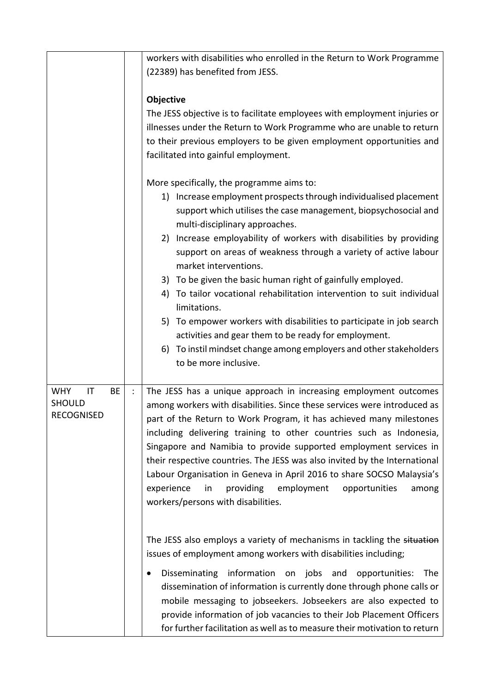|                                                                     | workers with disabilities who enrolled in the Return to Work Programme<br>(22389) has benefited from JESS.                                                                                                                                                                                                                                                                                                                                                                                                                                                                                                                                                                                                                                                                                                                      |
|---------------------------------------------------------------------|---------------------------------------------------------------------------------------------------------------------------------------------------------------------------------------------------------------------------------------------------------------------------------------------------------------------------------------------------------------------------------------------------------------------------------------------------------------------------------------------------------------------------------------------------------------------------------------------------------------------------------------------------------------------------------------------------------------------------------------------------------------------------------------------------------------------------------|
|                                                                     | <b>Objective</b><br>The JESS objective is to facilitate employees with employment injuries or<br>illnesses under the Return to Work Programme who are unable to return<br>to their previous employers to be given employment opportunities and<br>facilitated into gainful employment.<br>More specifically, the programme aims to:<br>1) Increase employment prospects through individualised placement<br>support which utilises the case management, biopsychosocial and<br>multi-disciplinary approaches.<br>Increase employability of workers with disabilities by providing<br>2)<br>support on areas of weakness through a variety of active labour<br>market interventions.<br>3) To be given the basic human right of gainfully employed.<br>To tailor vocational rehabilitation intervention to suit individual<br>4) |
|                                                                     | limitations.<br>To empower workers with disabilities to participate in job search<br>5)<br>activities and gear them to be ready for employment.<br>To instil mindset change among employers and other stakeholders<br>6)<br>to be more inclusive.                                                                                                                                                                                                                                                                                                                                                                                                                                                                                                                                                                               |
| <b>WHY</b><br>IT<br><b>BE</b><br><b>SHOULD</b><br><b>RECOGNISED</b> | The JESS has a unique approach in increasing employment outcomes<br>among workers with disabilities. Since these services were introduced as<br>part of the Return to Work Program, it has achieved many milestones<br>including delivering training to other countries such as Indonesia,<br>Singapore and Namibia to provide supported employment services in<br>their respective countries. The JESS was also invited by the International<br>Labour Organisation in Geneva in April 2016 to share SOCSO Malaysia's<br>experience<br>providing<br>employment<br>opportunities<br>in<br>among<br>workers/persons with disabilities.                                                                                                                                                                                           |
|                                                                     | The JESS also employs a variety of mechanisms in tackling the situation<br>issues of employment among workers with disabilities including;<br>Disseminating information<br>on jobs and<br>opportunities:<br><b>The</b><br>٠<br>dissemination of information is currently done through phone calls or<br>mobile messaging to jobseekers. Jobseekers are also expected to<br>provide information of job vacancies to their Job Placement Officers<br>for further facilitation as well as to measure their motivation to return                                                                                                                                                                                                                                                                                                    |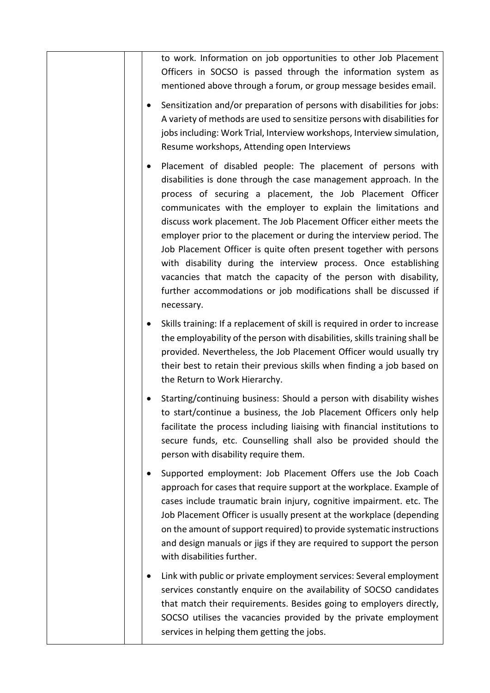| to work. Information on job opportunities to other Job Placement<br>Officers in SOCSO is passed through the information system as<br>mentioned above through a forum, or group message besides email.                                                                                                                                                                                                                                                                                                                                                                                                                                                                                                             |
|-------------------------------------------------------------------------------------------------------------------------------------------------------------------------------------------------------------------------------------------------------------------------------------------------------------------------------------------------------------------------------------------------------------------------------------------------------------------------------------------------------------------------------------------------------------------------------------------------------------------------------------------------------------------------------------------------------------------|
| Sensitization and/or preparation of persons with disabilities for jobs:<br>A variety of methods are used to sensitize persons with disabilities for<br>jobs including: Work Trial, Interview workshops, Interview simulation,<br>Resume workshops, Attending open Interviews                                                                                                                                                                                                                                                                                                                                                                                                                                      |
| Placement of disabled people: The placement of persons with<br>٠<br>disabilities is done through the case management approach. In the<br>process of securing a placement, the Job Placement Officer<br>communicates with the employer to explain the limitations and<br>discuss work placement. The Job Placement Officer either meets the<br>employer prior to the placement or during the interview period. The<br>Job Placement Officer is quite often present together with persons<br>with disability during the interview process. Once establishing<br>vacancies that match the capacity of the person with disability,<br>further accommodations or job modifications shall be discussed if<br>necessary. |
| Skills training: If a replacement of skill is required in order to increase<br>$\bullet$<br>the employability of the person with disabilities, skills training shall be<br>provided. Nevertheless, the Job Placement Officer would usually try<br>their best to retain their previous skills when finding a job based on<br>the Return to Work Hierarchy.                                                                                                                                                                                                                                                                                                                                                         |
| Starting/continuing business: Should a person with disability wishes<br>to start/continue a business, the Job Placement Officers only help<br>facilitate the process including liaising with financial institutions to<br>secure funds, etc. Counselling shall also be provided should the<br>person with disability require them.                                                                                                                                                                                                                                                                                                                                                                                |
| Supported employment: Job Placement Offers use the Job Coach<br>٠<br>approach for cases that require support at the workplace. Example of<br>cases include traumatic brain injury, cognitive impairment. etc. The<br>Job Placement Officer is usually present at the workplace (depending<br>on the amount of support required) to provide systematic instructions<br>and design manuals or jigs if they are required to support the person<br>with disabilities further.                                                                                                                                                                                                                                         |
| Link with public or private employment services: Several employment<br>services constantly enquire on the availability of SOCSO candidates<br>that match their requirements. Besides going to employers directly,<br>SOCSO utilises the vacancies provided by the private employment<br>services in helping them getting the jobs.                                                                                                                                                                                                                                                                                                                                                                                |